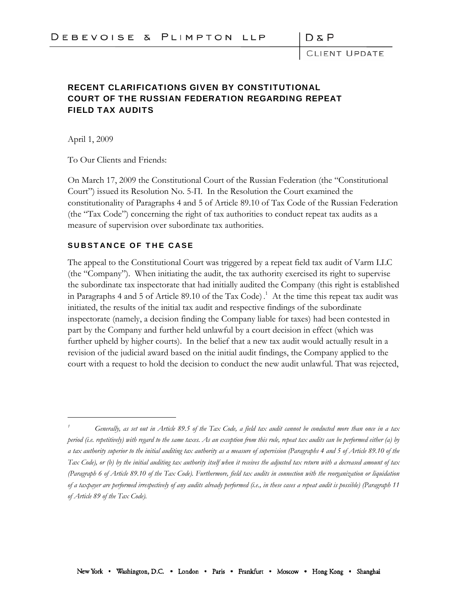DπP

CLIENT UPDATE

## RECENT CLARIFICATIONS GIVEN BY CONSTITUTIONAL COURT OF THE RUSSIAN FEDERATION REGARDING REPEAT FIELD TAX AUDITS

April 1, 2009

 $\overline{a}$ 

To Our Clients and Friends:

On March 17, 2009 the Constitutional Court of the Russian Federation (the "Constitutional Court") issued its Resolution No. 5-П. In the Resolution the Court examined the constitutionality of Paragraphs 4 and 5 of Article 89.10 of Tax Code of the Russian Federation (the "Tax Code") concerning the right of tax authorities to conduct repeat tax audits as a measure of supervision over subordinate tax authorities.

## SUBSTANCE OF THE CASE

The appeal to the Constitutional Court was triggered by a repeat field tax audit of Varm LLC (the "Company"). When initiating the audit, the tax authority exercised its right to supervise the subordinate tax inspectorate that had initially audited the Company (this right is established in Paragraphs 4 and 5 of Article 89.10 of the Tax Code) . 1 At the time this repeat tax audit was initiated, the results of the initial tax audit and respective findings of the subordinate inspectorate (namely, a decision finding the Company liable for taxes) had been contested in part by the Company and further held unlawful by a court decision in effect (which was further upheld by higher courts). In the belief that a new tax audit would actually result in a revision of the judicial award based on the initial audit findings, the Company applied to the court with a request to hold the decision to conduct the new audit unlawful. That was rejected,

*<sup>1</sup> Generally, as set out in Article 89.5 of the Tax Code, a field tax audit cannot be conducted more than once in a tax period (i.e. repetitively) with regard to the same taxes. As an exception from this rule, repeat tax audits can be performed either (a) by a tax authority superior to the initial auditing tax authority as a measure of supervision (Paragraphs 4 and 5 of Article 89.10 of the Tax Code), or (b) by the initial auditing tax authority itself when it receives the adjusted tax return with a decreased amount of tax (Paragraph 6 of Article 89.10 of the Tax Code). Furthermore, field tax audits in connection with the reorganization or liquidation of a taxpayer are performed irrespectively of any audits already performed (i.e., in these cases a repeat audit is possible) (Paragraph 11 of Article 89 of the Tax Code).*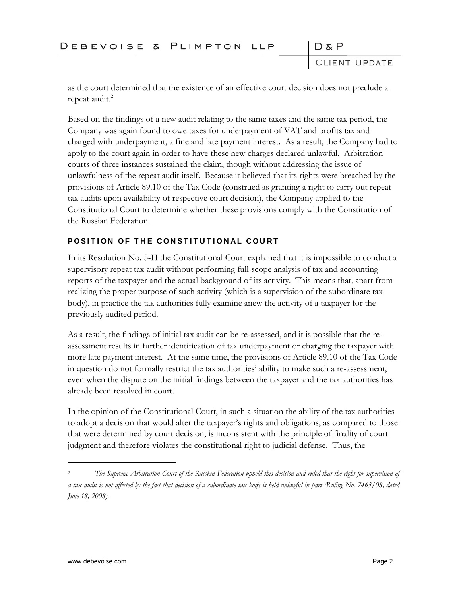**CLIENT UPDATE** 

 $D \& P$ 

as the court determined that the existence of an effective court decision does not preclude a repeat audit.<sup>2</sup>

Based on the findings of a new audit relating to the same taxes and the same tax period, the Company was again found to owe taxes for underpayment of VAT and profits tax and charged with underpayment, a fine and late payment interest. As a result, the Company had to apply to the court again in order to have these new charges declared unlawful. Arbitration courts of three instances sustained the claim, though without addressing the issue of unlawfulness of the repeat audit itself. Because it believed that its rights were breached by the provisions of Article 89.10 of the Tax Code (construed as granting a right to carry out repeat tax audits upon availability of respective court decision), the Company applied to the Constitutional Court to determine whether these provisions comply with the Constitution of the Russian Federation.

## POSITION OF THE CONSTITUTIONAL COURT

In its Resolution No. 5-П the Constitutional Court explained that it is impossible to conduct a supervisory repeat tax audit without performing full-scope analysis of tax and accounting reports of the taxpayer and the actual background of its activity. This means that, apart from realizing the proper purpose of such activity (which is a supervision of the subordinate tax body), in practice the tax authorities fully examine anew the activity of a taxpayer for the previously audited period.

As a result, the findings of initial tax audit can be re-assessed, and it is possible that the reassessment results in further identification of tax underpayment or charging the taxpayer with more late payment interest. At the same time, the provisions of Article 89.10 of the Tax Code in question do not formally restrict the tax authorities' ability to make such a re-assessment, even when the dispute on the initial findings between the taxpayer and the tax authorities has already been resolved in court.

In the opinion of the Constitutional Court, in such a situation the ability of the tax authorities to adopt a decision that would alter the taxpayer's rights and obligations, as compared to those that were determined by court decision, is inconsistent with the principle of finality of court judgment and therefore violates the constitutional right to judicial defense. Thus, the

1

*<sup>2</sup> The Supreme Arbitration Court of the Russian Federation upheld this decision and ruled that the right for supervision of a tax audit is not affected by the fact that decision of a subordinate tax body is held unlawful in part (Ruling No. 7463/08, dated June 18, 2008).*